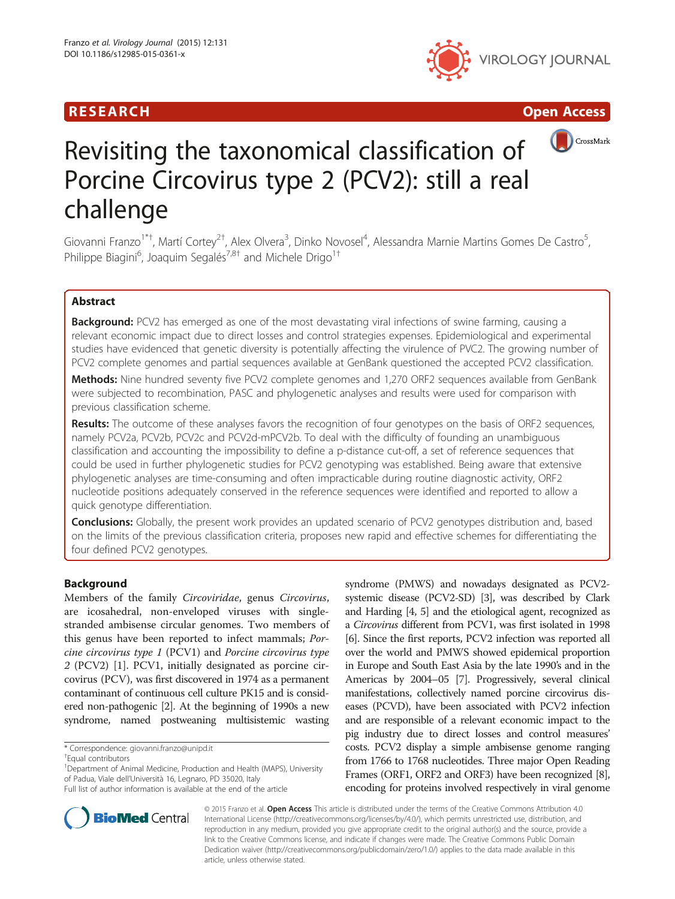





# Revisiting the taxonomical classification of Porcine Circovirus type 2 (PCV2): still a real challenge

Giovanni Franzo<sup>1\*†</sup>, Martí Cortey<sup>2†</sup>, Alex Olvera<sup>3</sup>, Dinko Novosel<sup>4</sup>, Alessandra Marnie Martins Gomes De Castro<sup>5</sup> , Philippe Biagini<sup>6</sup>, Joaquim Segalés<sup>7,8†</sup> and Michele Drigo<sup>1†</sup>

# Abstract

**Background:** PCV2 has emerged as one of the most devastating viral infections of swine farming, causing a relevant economic impact due to direct losses and control strategies expenses. Epidemiological and experimental studies have evidenced that genetic diversity is potentially affecting the virulence of PVC2. The growing number of PCV2 complete genomes and partial sequences available at GenBank questioned the accepted PCV2 classification.

Methods: Nine hundred seventy five PCV2 complete genomes and 1,270 ORF2 sequences available from GenBank were subjected to recombination, PASC and phylogenetic analyses and results were used for comparison with previous classification scheme.

Results: The outcome of these analyses favors the recognition of four genotypes on the basis of ORF2 sequences, namely PCV2a, PCV2b, PCV2c and PCV2d-mPCV2b. To deal with the difficulty of founding an unambiguous classification and accounting the impossibility to define a p-distance cut-off, a set of reference sequences that could be used in further phylogenetic studies for PCV2 genotyping was established. Being aware that extensive phylogenetic analyses are time-consuming and often impracticable during routine diagnostic activity, ORF2 nucleotide positions adequately conserved in the reference sequences were identified and reported to allow a quick genotype differentiation.

**Conclusions:** Globally, the present work provides an updated scenario of PCV2 genotypes distribution and, based on the limits of the previous classification criteria, proposes new rapid and effective schemes for differentiating the four defined PCV2 genotypes.

# Background

Members of the family Circoviridae, genus Circovirus, are icosahedral, non-enveloped viruses with singlestranded ambisense circular genomes. Two members of this genus have been reported to infect mammals; Porcine circovirus type 1 (PCV1) and Porcine circovirus type 2 (PCV2) [\[1](#page-6-0)]. PCV1, initially designated as porcine circovirus (PCV), was first discovered in 1974 as a permanent contaminant of continuous cell culture PK15 and is considered non-pathogenic [\[2\]](#page-6-0). At the beginning of 1990s a new syndrome, named postweaning multisistemic wasting

\* Correspondence: [giovanni.franzo@unipd.it](mailto:giovanni.franzo@unipd.it) †

<sup>1</sup>Department of Animal Medicine, Production and Health (MAPS), University of Padua, Viale dell'Università 16, Legnaro, PD 35020, Italy Full list of author information is available at the end of the article

syndrome (PMWS) and nowadays designated as PCV2 systemic disease (PCV2-SD) [\[3\]](#page-6-0), was described by Clark and Harding [\[4, 5\]](#page-6-0) and the etiological agent, recognized as a Circovirus different from PCV1, was first isolated in 1998 [[6](#page-6-0)]. Since the first reports, PCV2 infection was reported all over the world and PMWS showed epidemical proportion in Europe and South East Asia by the late 1990's and in the Americas by 2004–05 [\[7\]](#page-6-0). Progressively, several clinical manifestations, collectively named porcine circovirus diseases (PCVD), have been associated with PCV2 infection and are responsible of a relevant economic impact to the pig industry due to direct losses and control measures' costs. PCV2 display a simple ambisense genome ranging from 1766 to 1768 nucleotides. Three major Open Reading Frames (ORF1, ORF2 and ORF3) have been recognized [[8](#page-6-0)], encoding for proteins involved respectively in viral genome



© 2015 Franzo et al. Open Access This article is distributed under the terms of the Creative Commons Attribution 4.0 International License [\(http://creativecommons.org/licenses/by/4.0/\)](http://creativecommons.org/licenses/by/4.0/), which permits unrestricted use, distribution, and reproduction in any medium, provided you give appropriate credit to the original author(s) and the source, provide a link to the Creative Commons license, and indicate if changes were made. The Creative Commons Public Domain Dedication waiver ([http://creativecommons.org/publicdomain/zero/1.0/\)](http://creativecommons.org/publicdomain/zero/1.0/) applies to the data made available in this article, unless otherwise stated.

Equal contributors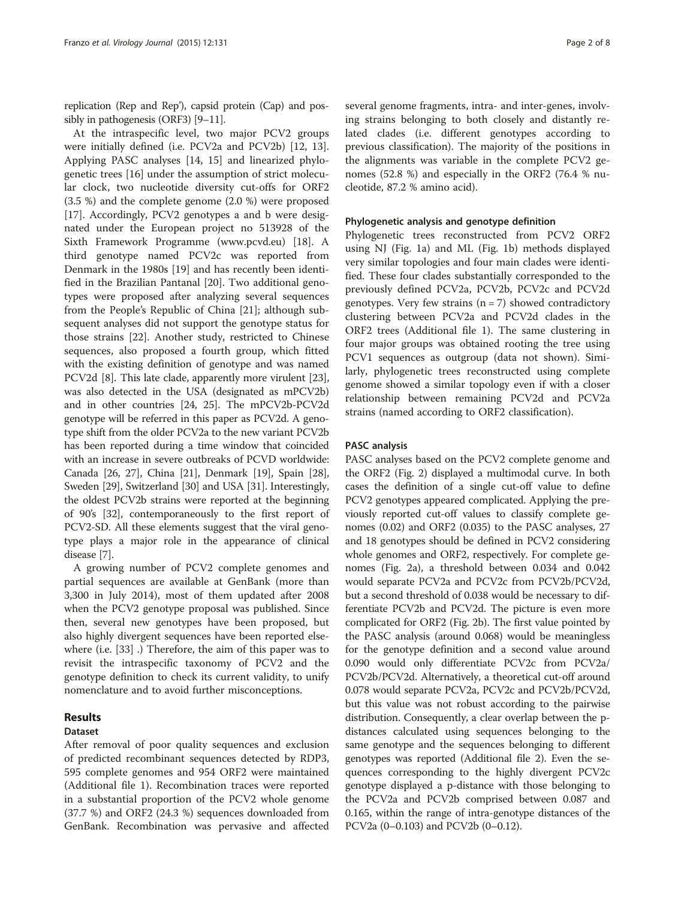replication (Rep and Rep'), capsid protein (Cap) and possibly in pathogenesis (ORF3) [\[9](#page-6-0)–[11](#page-6-0)].

At the intraspecific level, two major PCV2 groups were initially defined (i.e. PCV2a and PCV2b) [\[12](#page-6-0), [13](#page-6-0)]. Applying PASC analyses [\[14, 15](#page-6-0)] and linearized phylogenetic trees [\[16\]](#page-6-0) under the assumption of strict molecular clock, two nucleotide diversity cut-offs for ORF2 (3.5 %) and the complete genome (2.0 %) were proposed [[17\]](#page-6-0). Accordingly, PCV2 genotypes a and b were designated under the European project no 513928 of the Sixth Framework Programme ([www.pcvd.eu\)](http://www.pcvd.eu) [[18\]](#page-6-0). A third genotype named PCV2c was reported from Denmark in the 1980s [[19\]](#page-6-0) and has recently been identified in the Brazilian Pantanal [\[20](#page-6-0)]. Two additional genotypes were proposed after analyzing several sequences from the People's Republic of China [\[21](#page-6-0)]; although subsequent analyses did not support the genotype status for those strains [[22\]](#page-6-0). Another study, restricted to Chinese sequences, also proposed a fourth group, which fitted with the existing definition of genotype and was named PCV2d [[8\]](#page-6-0). This late clade, apparently more virulent [[23](#page-6-0)], was also detected in the USA (designated as mPCV2b) and in other countries [\[24, 25](#page-6-0)]. The mPCV2b-PCV2d genotype will be referred in this paper as PCV2d. A genotype shift from the older PCV2a to the new variant PCV2b has been reported during a time window that coincided with an increase in severe outbreaks of PCVD worldwide: Canada [\[26, 27](#page-6-0)], China [[21](#page-6-0)], Denmark [\[19](#page-6-0)], Spain [[28](#page-6-0)], Sweden [\[29\]](#page-6-0), Switzerland [\[30\]](#page-6-0) and USA [\[31\]](#page-6-0). Interestingly, the oldest PCV2b strains were reported at the beginning of 90's [[32](#page-6-0)], contemporaneously to the first report of PCV2-SD. All these elements suggest that the viral genotype plays a major role in the appearance of clinical disease [\[7](#page-6-0)].

A growing number of PCV2 complete genomes and partial sequences are available at GenBank (more than 3,300 in July 2014), most of them updated after 2008 when the PCV2 genotype proposal was published. Since then, several new genotypes have been proposed, but also highly divergent sequences have been reported elsewhere (i.e. [\[33\]](#page-7-0) .) Therefore, the aim of this paper was to revisit the intraspecific taxonomy of PCV2 and the genotype definition to check its current validity, to unify nomenclature and to avoid further misconceptions.

#### Results

### Dataset

After removal of poor quality sequences and exclusion of predicted recombinant sequences detected by RDP3, 595 complete genomes and 954 ORF2 were maintained (Additional file [1\)](#page-6-0). Recombination traces were reported in a substantial proportion of the PCV2 whole genome (37.7 %) and ORF2 (24.3 %) sequences downloaded from GenBank. Recombination was pervasive and affected

several genome fragments, intra- and inter-genes, involving strains belonging to both closely and distantly related clades (i.e. different genotypes according to previous classification). The majority of the positions in the alignments was variable in the complete PCV2 genomes (52.8 %) and especially in the ORF2 (76.4 % nucleotide, 87.2 % amino acid).

#### Phylogenetic analysis and genotype definition

Phylogenetic trees reconstructed from PCV2 ORF2 using NJ (Fig. [1a\)](#page-2-0) and ML (Fig. [1b](#page-2-0)) methods displayed very similar topologies and four main clades were identified. These four clades substantially corresponded to the previously defined PCV2a, PCV2b, PCV2c and PCV2d genotypes. Very few strains  $(n = 7)$  showed contradictory clustering between PCV2a and PCV2d clades in the ORF2 trees (Additional file [1\)](#page-6-0). The same clustering in four major groups was obtained rooting the tree using PCV1 sequences as outgroup (data not shown). Similarly, phylogenetic trees reconstructed using complete genome showed a similar topology even if with a closer relationship between remaining PCV2d and PCV2a strains (named according to ORF2 classification).

#### PASC analysis

PASC analyses based on the PCV2 complete genome and the ORF2 (Fig. [2](#page-2-0)) displayed a multimodal curve. In both cases the definition of a single cut-off value to define PCV2 genotypes appeared complicated. Applying the previously reported cut-off values to classify complete genomes (0.02) and ORF2 (0.035) to the PASC analyses, 27 and 18 genotypes should be defined in PCV2 considering whole genomes and ORF2, respectively. For complete genomes (Fig. [2a](#page-2-0)), a threshold between 0.034 and 0.042 would separate PCV2a and PCV2c from PCV2b/PCV2d, but a second threshold of 0.038 would be necessary to differentiate PCV2b and PCV2d. The picture is even more complicated for ORF2 (Fig. [2b\)](#page-2-0). The first value pointed by the PASC analysis (around 0.068) would be meaningless for the genotype definition and a second value around 0.090 would only differentiate PCV2c from PCV2a/ PCV2b/PCV2d. Alternatively, a theoretical cut-off around 0.078 would separate PCV2a, PCV2c and PCV2b/PCV2d, but this value was not robust according to the pairwise distribution. Consequently, a clear overlap between the pdistances calculated using sequences belonging to the same genotype and the sequences belonging to different genotypes was reported (Additional file [2](#page-6-0)). Even the sequences corresponding to the highly divergent PCV2c genotype displayed a p-distance with those belonging to the PCV2a and PCV2b comprised between 0.087 and 0.165, within the range of intra-genotype distances of the PCV2a (0–0.103) and PCV2b (0–0.12).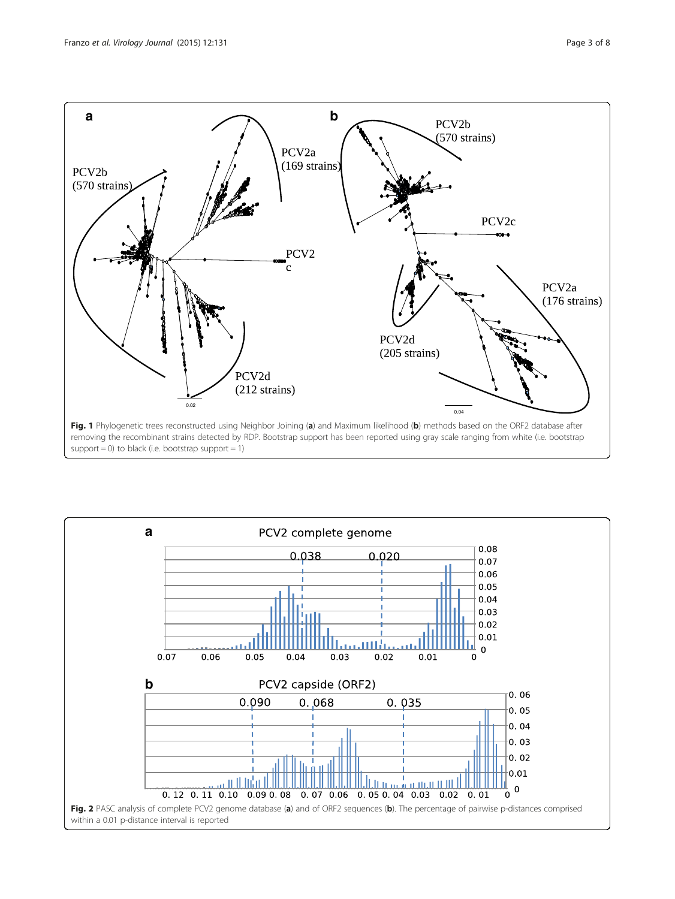<span id="page-2-0"></span>

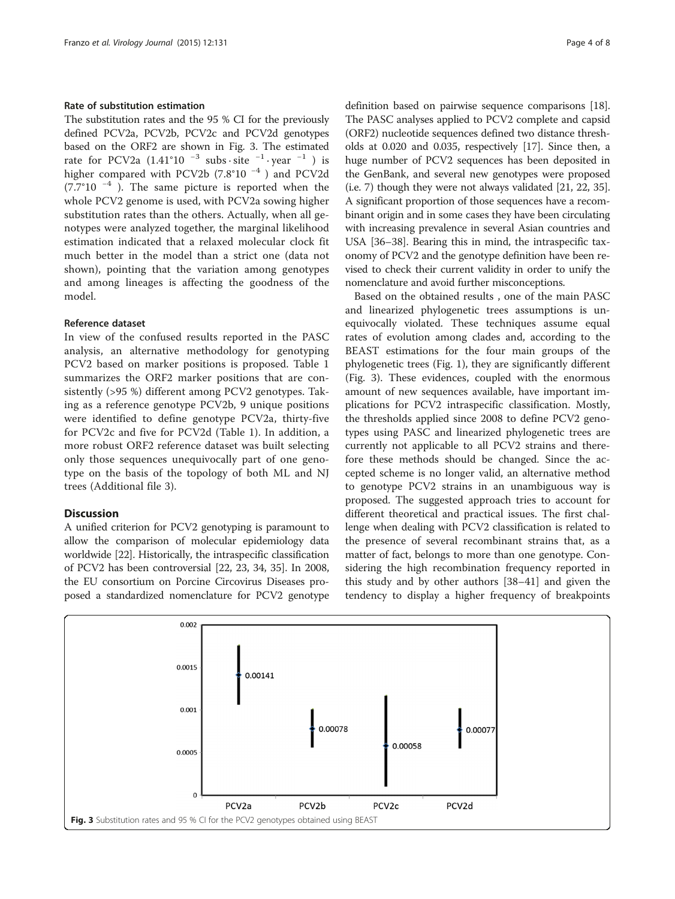#### Rate of substitution estimation

The substitution rates and the 95 % CI for the previously defined PCV2a, PCV2b, PCV2c and PCV2d genotypes based on the ORF2 are shown in Fig. 3. The estimated rate for PCV2a (1.41°10<sup>-3</sup> subs · site  $^{-1}$  · year  $^{-1}$ ) is higher compared with PCV2b (7.8°10 <sup>−</sup><sup>4</sup> ) and PCV2d (7.7°10 $-4$ ). The same picture is reported when the whole PCV2 genome is used, with PCV2a sowing higher substitution rates than the others. Actually, when all genotypes were analyzed together, the marginal likelihood estimation indicated that a relaxed molecular clock fit much better in the model than a strict one (data not shown), pointing that the variation among genotypes and among lineages is affecting the goodness of the model.

#### Reference dataset

In view of the confused results reported in the PASC analysis, an alternative methodology for genotyping PCV2 based on marker positions is proposed. Table [1](#page-4-0) summarizes the ORF2 marker positions that are consistently (>95 %) different among PCV2 genotypes. Taking as a reference genotype PCV2b, 9 unique positions were identified to define genotype PCV2a, thirty-five for PCV2c and five for PCV2d (Table [1\)](#page-4-0). In addition, a more robust ORF2 reference dataset was built selecting only those sequences unequivocally part of one genotype on the basis of the topology of both ML and NJ trees (Additional file [3](#page-6-0)).

### **Discussion**

A unified criterion for PCV2 genotyping is paramount to allow the comparison of molecular epidemiology data worldwide [\[22](#page-6-0)]. Historically, the intraspecific classification of PCV2 has been controversial [\[22, 23,](#page-6-0) [34](#page-7-0), [35](#page-7-0)]. In 2008, the EU consortium on Porcine Circovirus Diseases proposed a standardized nomenclature for PCV2 genotype

definition based on pairwise sequence comparisons [[18](#page-6-0)]. The PASC analyses applied to PCV2 complete and capsid (ORF2) nucleotide sequences defined two distance thresholds at 0.020 and 0.035, respectively [[17](#page-6-0)]. Since then, a huge number of PCV2 sequences has been deposited in the GenBank, and several new genotypes were proposed (i.e. 7) though they were not always validated [\[21, 22,](#page-6-0) [35](#page-7-0)]. A significant proportion of those sequences have a recombinant origin and in some cases they have been circulating with increasing prevalence in several Asian countries and USA [\[36](#page-7-0)–[38](#page-7-0)]. Bearing this in mind, the intraspecific taxonomy of PCV2 and the genotype definition have been revised to check their current validity in order to unify the nomenclature and avoid further misconceptions.

Based on the obtained results , one of the main PASC and linearized phylogenetic trees assumptions is unequivocally violated. These techniques assume equal rates of evolution among clades and, according to the BEAST estimations for the four main groups of the phylogenetic trees (Fig. [1\)](#page-2-0), they are significantly different (Fig. 3). These evidences, coupled with the enormous amount of new sequences available, have important implications for PCV2 intraspecific classification. Mostly, the thresholds applied since 2008 to define PCV2 genotypes using PASC and linearized phylogenetic trees are currently not applicable to all PCV2 strains and therefore these methods should be changed. Since the accepted scheme is no longer valid, an alternative method to genotype PCV2 strains in an unambiguous way is proposed. The suggested approach tries to account for different theoretical and practical issues. The first challenge when dealing with PCV2 classification is related to the presence of several recombinant strains that, as a matter of fact, belongs to more than one genotype. Considering the high recombination frequency reported in this study and by other authors [\[38](#page-7-0)–[41\]](#page-7-0) and given the tendency to display a higher frequency of breakpoints

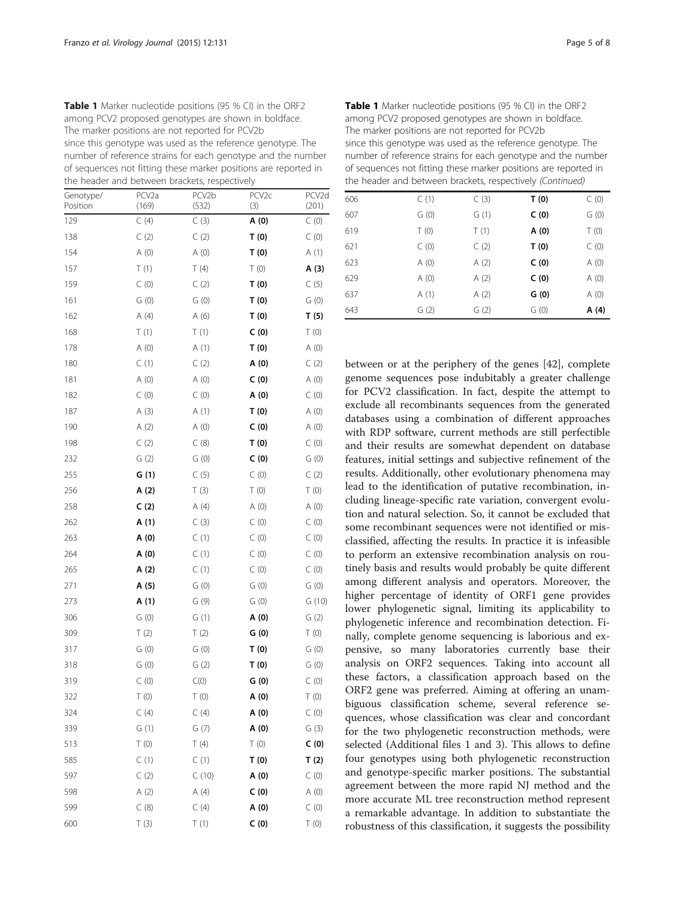<span id="page-4-0"></span>Table 1 Marker nucleotide positions (95 % CI) in the ORF2 among PCV2 proposed genotypes are shown in boldface. The marker positions are not reported for PCV2b since this genotype was used as the reference genotype. The number of reference strains for each genotype and the number of sequences not fitting these marker positions are reported in the header and between brackets, respectively

| Genotype/<br>Position | PCV <sub>2a</sub><br>(169) | PCV2b<br>(532) | ╯<br>PCV <sub>2c</sub><br>(3) | PCV <sub>2</sub> d<br>(201) |
|-----------------------|----------------------------|----------------|-------------------------------|-----------------------------|
| 129                   | C(4)                       | C(3)           | A (0)                         | C(0)                        |
| 138                   | C(2)                       | C(2)           | T(0)                          | C(0)                        |
| 154                   | A(0)                       | A(0)           | T(0)                          | A(1)                        |
| 157                   | T(1)                       | T(4)           | T(0)                          | A (3)                       |
| 159                   | $\subset$ (0)              | C(2)           | T(0)                          | C(5)                        |
| 161                   | G(0)                       | G(0)           | T(0)                          | G(0)                        |
| 162                   | A(4)                       | A (6)          | T(0)                          | T(5)                        |
| 168                   | T(1)                       | T(1)           | C(0)                          | T(0)                        |
| 178                   | A(0)                       | A(1)           | T(0)                          | A(0)                        |
| 180                   | C(1)                       | C(2)           | A (0)                         | C(2)                        |
| 181                   | A(0)                       | A(0)           | C(0)                          | A(0)                        |
| 182                   | C(0)                       | C(0)           | A (0)                         | C(0)                        |
| 187                   | A(3)                       | A(1)           | T(0)                          | A(0)                        |
| 190                   | A(2)                       | A(0)           | C(0)                          | A(0)                        |
| 198                   | C(2)                       | C(8)           | T(0)                          | C(0)                        |
| 232                   | G(2)                       | G(0)           | C(0)                          | G(0)                        |
| 255                   | G(1)                       | C(5)           | C(0)                          | C(2)                        |
| 256                   | A (2)                      | T(3)           | T(0)                          | $\top$ (0)                  |
| 258                   | C(2)                       | A (4)          | A(0)                          | A(0)                        |
| 262                   | A (1)                      | C(3)           | C(0)                          | C(0)                        |
| 263                   | A (0)                      | C(1)           | C(0)                          | C(0)                        |
| 264                   | A (0)                      | C(1)           | C(0)                          | C(0)                        |
| 265                   | A (2)                      | C(1)           | C(0)                          | C(0)                        |
| 271                   | A (5)                      | G(0)           | G(0)                          | G(0)                        |
| 273                   | A (1)                      | G(9)           | G(0)                          | G(10)                       |
| 306                   | G(0)                       | G(1)           | A(0)                          | G(2)                        |
| 309                   | T(2)                       | T(2)           | G(0)                          | T(0)                        |
| 317                   | G(0)                       | G(0)           | T(0)                          | G(0)                        |
| 318                   | G(0)                       | G(2)           | T(0)                          | G(0)                        |
| 319                   | $\in$ (0)                  | C(0)           | G(0)                          | C(0)                        |
| 322                   | T (0)                      | T (0)          | A (0)                         | T(0)                        |
| 324                   | C(4)                       | C(4)           | A (0)                         | C(0)                        |
| 339                   | G(1)                       | G(7)           | A (0)                         | G(3)                        |
| 513                   | T(0)                       | T(4)           | T(0)                          | C(0)                        |
| 585                   | C(1)                       | C(1)           | T(0)                          | T(2)                        |
| 597                   | C(2)                       | C(10)          | A (0)                         | C(0)                        |
| 598                   | A(2)                       | A(4)           | C(0)                          | A(0)                        |
| 599                   | C(8)                       | C(4)           | A (0)                         | C(0)                        |
| 600                   | T(3)                       | T(1)           | C(0)                          | T(0)                        |

Table 1 Marker nucleotide positions (95 % CI) in the ORF2 among PCV2 proposed genotypes are shown in boldface. The marker positions are not reported for PCV2b since this genotype was used as the reference genotype. The number of reference strains for each genotype and the number of sequences not fitting these marker positions are reported in the header and between brackets, respectively (Continued)

| 606 | C(1) | C(3) | T(0) | C(0)  |
|-----|------|------|------|-------|
| 607 | G(0) | G(1) | C(0) | G(0)  |
| 619 | T(0) | T(1) | A(0) | T(0)  |
| 621 | C(0) | C(2) | T(0) | C(0)  |
| 623 | A(0) | A(2) | C(0) | A(0)  |
| 629 | A(0) | A(2) | C(0) | A(0)  |
| 637 | A(1) | A(2) | G(0) | A(0)  |
| 643 | G(2) | G(2) | G(0) | A (4) |
|     |      |      |      |       |

between or at the periphery of the genes [\[42](#page-7-0)], complete genome sequences pose indubitably a greater challenge for PCV2 classification. In fact, despite the attempt to exclude all recombinants sequences from the generated databases using a combination of different approaches with RDP software, current methods are still perfectible and their results are somewhat dependent on database features, initial settings and subjective refinement of the results. Additionally, other evolutionary phenomena may lead to the identification of putative recombination, including lineage-specific rate variation, convergent evolution and natural selection. So, it cannot be excluded that some recombinant sequences were not identified or misclassified, affecting the results. In practice it is infeasible to perform an extensive recombination analysis on routinely basis and results would probably be quite different among different analysis and operators. Moreover, the higher percentage of identity of ORF1 gene provides lower phylogenetic signal, limiting its applicability to phylogenetic inference and recombination detection. Finally, complete genome sequencing is laborious and expensive, so many laboratories currently base their analysis on ORF2 sequences. Taking into account all these factors, a classification approach based on the ORF2 gene was preferred. Aiming at offering an unambiguous classification scheme, several reference sequences, whose classification was clear and concordant for the two phylogenetic reconstruction methods, were selected (Additional files [1](#page-6-0) and [3](#page-6-0)). This allows to define four genotypes using both phylogenetic reconstruction and genotype-specific marker positions. The substantial agreement between the more rapid NJ method and the more accurate ML tree reconstruction method represent a remarkable advantage. In addition to substantiate the robustness of this classification, it suggests the possibility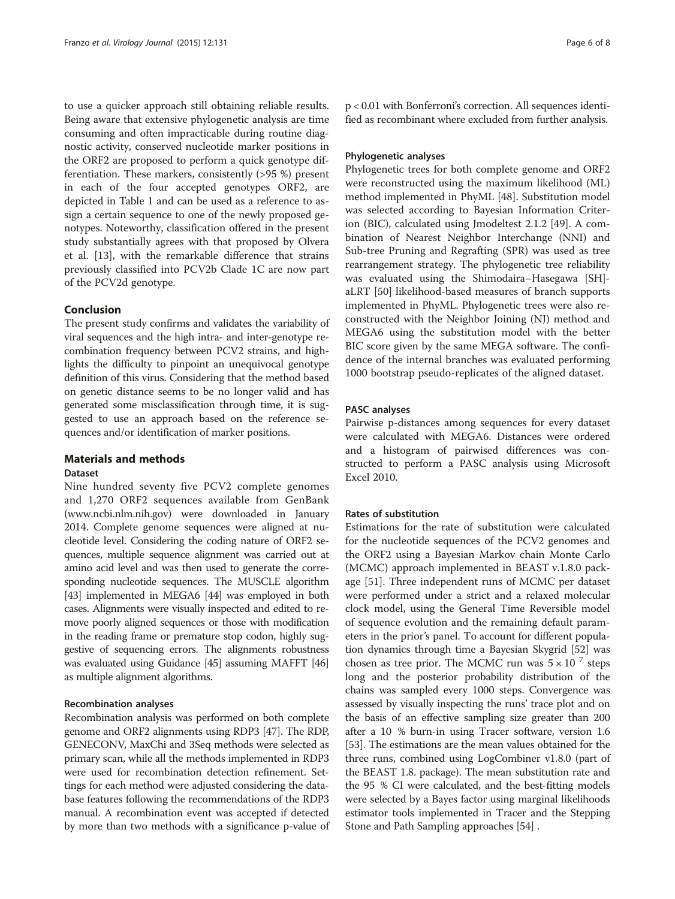to use a quicker approach still obtaining reliable results. Being aware that extensive phylogenetic analysis are time consuming and often impracticable during routine diagnostic activity, conserved nucleotide marker positions in the ORF2 are proposed to perform a quick genotype differentiation. These markers, consistently (>95 %) present in each of the four accepted genotypes ORF2, are depicted in Table [1](#page-4-0) and can be used as a reference to assign a certain sequence to one of the newly proposed genotypes. Noteworthy, classification offered in the present study substantially agrees with that proposed by Olvera et al. [\[13](#page-6-0)], with the remarkable difference that strains previously classified into PCV2b Clade 1C are now part of the PCV2d genotype.

#### Conclusion

The present study confirms and validates the variability of viral sequences and the high intra- and inter-genotype recombination frequency between PCV2 strains, and highlights the difficulty to pinpoint an unequivocal genotype definition of this virus. Considering that the method based on genetic distance seems to be no longer valid and has generated some misclassification through time, it is suggested to use an approach based on the reference sequences and/or identification of marker positions.

# Materials and methods

#### Dataset

Nine hundred seventy five PCV2 complete genomes and 1,270 ORF2 sequences available from GenBank ([www.ncbi.nlm.nih.gov](http://www.ncbi.nlm.nih.gov)) were downloaded in January 2014. Complete genome sequences were aligned at nucleotide level. Considering the coding nature of ORF2 sequences, multiple sequence alignment was carried out at amino acid level and was then used to generate the corresponding nucleotide sequences. The MUSCLE algorithm [[43](#page-7-0)] implemented in MEGA6 [\[44\]](#page-7-0) was employed in both cases. Alignments were visually inspected and edited to remove poorly aligned sequences or those with modification in the reading frame or premature stop codon, highly suggestive of sequencing errors. The alignments robustness was evaluated using Guidance [\[45\]](#page-7-0) assuming MAFFT [\[46](#page-7-0)] as multiple alignment algorithms.

#### Recombination analyses

Recombination analysis was performed on both complete genome and ORF2 alignments using RDP3 [[47\]](#page-7-0). The RDP, GENECONV, MaxChi and 3Seq methods were selected as primary scan, while all the methods implemented in RDP3 were used for recombination detection refinement. Settings for each method were adjusted considering the database features following the recommendations of the RDP3 manual. A recombination event was accepted if detected by more than two methods with a significance p-value of

p < 0.01 with Bonferroni's correction. All sequences identified as recombinant where excluded from further analysis.

#### Phylogenetic analyses

Phylogenetic trees for both complete genome and ORF2 were reconstructed using the maximum likelihood (ML) method implemented in PhyML [\[48](#page-7-0)]. Substitution model was selected according to Bayesian Information Criterion (BIC), calculated using Jmodeltest 2.1.2 [[49\]](#page-7-0). A combination of Nearest Neighbor Interchange (NNI) and Sub-tree Pruning and Regrafting (SPR) was used as tree rearrangement strategy. The phylogenetic tree reliability was evaluated using the Shimodaira–Hasegawa [SH] aLRT [\[50](#page-7-0)] likelihood-based measures of branch supports implemented in PhyML. Phylogenetic trees were also reconstructed with the Neighbor Joining (NJ) method and MEGA6 using the substitution model with the better BIC score given by the same MEGA software. The confidence of the internal branches was evaluated performing 1000 bootstrap pseudo-replicates of the aligned dataset.

#### PASC analyses

Pairwise p-distances among sequences for every dataset were calculated with MEGA6. Distances were ordered and a histogram of pairwised differences was constructed to perform a PASC analysis using Microsoft Excel 2010.

### Rates of substitution

Estimations for the rate of substitution were calculated for the nucleotide sequences of the PCV2 genomes and the ORF2 using a Bayesian Markov chain Monte Carlo (MCMC) approach implemented in BEAST v.1.8.0 package [[51\]](#page-7-0). Three independent runs of MCMC per dataset were performed under a strict and a relaxed molecular clock model, using the General Time Reversible model of sequence evolution and the remaining default parameters in the prior's panel. To account for different population dynamics through time a Bayesian Skygrid [\[52\]](#page-7-0) was chosen as tree prior. The MCMC run was  $5 \times 10^{-7}$  steps long and the posterior probability distribution of the chains was sampled every 1000 steps. Convergence was assessed by visually inspecting the runs' trace plot and on the basis of an effective sampling size greater than 200 after a 10 % burn-in using Tracer software, version 1.6 [[53](#page-7-0)]. The estimations are the mean values obtained for the three runs, combined using LogCombiner v1.8.0 (part of the BEAST 1.8. package). The mean substitution rate and the 95 % CI were calculated, and the best-fitting models were selected by a Bayes factor using marginal likelihoods estimator tools implemented in Tracer and the Stepping Stone and Path Sampling approaches [[54](#page-7-0)] .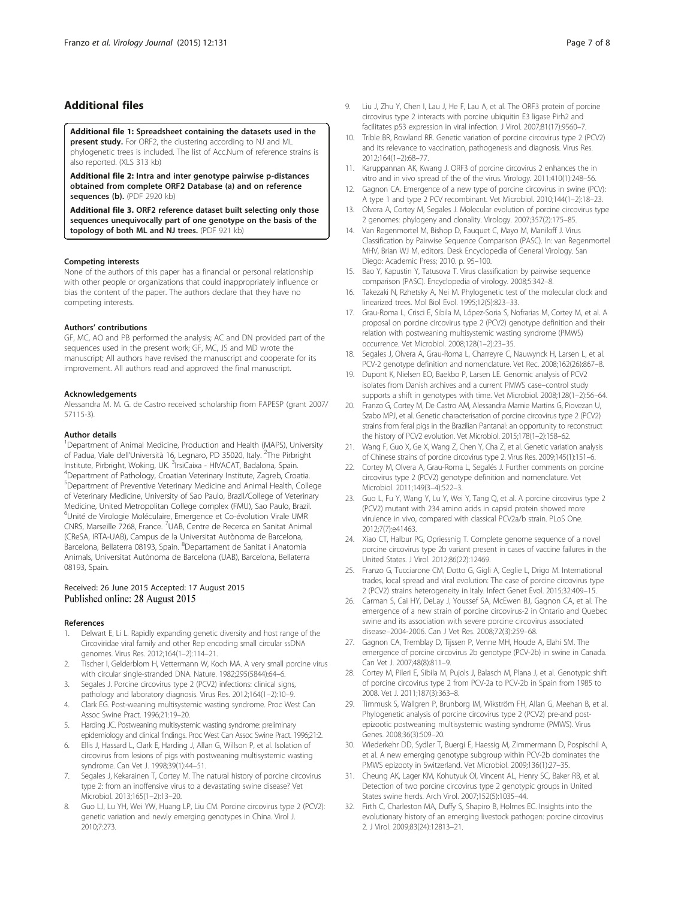## <span id="page-6-0"></span>Additional files

[Additional file 1:](http://www.virologyj.com/content/supplementary/s12985-015-0361-x-s1.xls) Spreadsheet containing the datasets used in the present study. For ORF2, the clustering according to NJ and ML phylogenetic trees is included. The list of Acc.Num of reference strains is also reported. (XLS 313 kb)

[Additional file 2:](http://www.virologyj.com/content/supplementary/s12985-015-0361-x-s2.pdf) Intra and inter genotype pairwise p-distances obtained from complete ORF2 Database (a) and on reference sequences (b). (PDF 2920 kb)

[Additional file 3.](http://www.virologyj.com/content/supplementary/s12985-015-0361-x-s3.pdf) ORF2 reference dataset built selecting only those sequences unequivocally part of one genotype on the basis of the topology of both ML and NJ trees. (PDF 921 kb)

#### Competing interests

None of the authors of this paper has a financial or personal relationship with other people or organizations that could inappropriately influence or bias the content of the paper. The authors declare that they have no competing interests.

#### Authors' contributions

GF, MC, AO and PB performed the analysis; AC and DN provided part of the sequences used in the present work; GF, MC, JS and MD wrote the manuscript; All authors have revised the manuscript and cooperate for its improvement. All authors read and approved the final manuscript.

#### Acknowledgements

Alessandra M. M. G. de Castro received scholarship from FAPESP (grant 2007/ 57115-3).

#### Author details

<sup>1</sup>Department of Animal Medicine, Production and Health (MAPS), University of Padua, Viale dell'Università 16, Legnaro, PD 35020, Italy. <sup>2</sup>The Pirbright Institute, Pirbright, Woking, UK. <sup>3</sup>IrsiCaixa - HIVACAT, Badalona, Spain.<br><sup>4</sup>Department of Pathology, Croatian Veterinary Institute, Zagreb, Cro <sup>4</sup>Department of Pathology, Croatian Veterinary Institute, Zagreb, Croatia. 5 Department of Preventive Veterinary Medicine and Animal Health, College of Veterinary Medicine, University of Sao Paulo, Brazil/College of Veterinary Medicine, United Metropolitan College complex (FMU), Sao Paulo, Brazil. 6 Unité de Virologie Moléculaire, Emergence et Co-évolution Virale UMR CNRS, Marseille 7268, France. <sup>7</sup>UAB, Centre de Recerca en Sanitat Animal (CReSA, IRTA-UAB), Campus de la Universitat Autònoma de Barcelona, Barcelona, Bellaterra 08193, Spain. <sup>8</sup>Departament de Sanitat i Anatomia Animals, Universitat Autònoma de Barcelona (UAB), Barcelona, Bellaterra 08193, Spain.

#### Received: 26 June 2015 Accepted: 17 August 2015 Published online: 28 August 2015

#### References

- Delwart E, Li L. Rapidly expanding genetic diversity and host range of the Circoviridae viral family and other Rep encoding small circular ssDNA genomes. Virus Res. 2012;164(1–2):114–21.
- 2. Tischer I, Gelderblom H, Vettermann W, Koch MA. A very small porcine virus with circular single-stranded DNA. Nature. 1982;295(5844):64–6.
- 3. Segales J. Porcine circovirus type 2 (PCV2) infections: clinical signs, pathology and laboratory diagnosis. Virus Res. 2012;164(1–2):10–9.
- 4. Clark EG. Post-weaning multisystemic wasting syndrome. Proc West Can Assoc Swine Pract. 1996;21:19–20.
- 5. Harding JC. Postweaning multisystemic wasting syndrome: preliminary epidemiology and clinical findings. Proc West Can Assoc Swine Pract. 1996;21:2.
- 6. Ellis J, Hassard L, Clark E, Harding J, Allan G, Willson P, et al. Isolation of circovirus from lesions of pigs with postweaning multisystemic wasting syndrome. Can Vet J. 1998;39(1):44–51.
- 7. Segales J, Kekarainen T, Cortey M. The natural history of porcine circovirus type 2: from an inoffensive virus to a devastating swine disease? Vet Microbiol. 2013;165(1–2):13–20.
- Guo LJ, Lu YH, Wei YW, Huang LP, Liu CM. Porcine circovirus type 2 (PCV2): genetic variation and newly emerging genotypes in China. Virol J. 2010;7:273.
- 9. Liu J, Zhu Y, Chen I, Lau J, He F, Lau A, et al. The ORF3 protein of porcine circovirus type 2 interacts with porcine ubiquitin E3 ligase Pirh2 and facilitates p53 expression in viral infection. J Virol. 2007;81(17):9560–7.
- 10. Trible BR, Rowland RR. Genetic variation of porcine circovirus type 2 (PCV2) and its relevance to vaccination, pathogenesis and diagnosis. Virus Res. 2012;164(1–2):68–77.
- 11. Karuppannan AK, Kwang J. ORF3 of porcine circovirus 2 enhances the in vitro and in vivo spread of the of the virus. Virology. 2011;410(1):248–56.
- 12. Gagnon CA. Emergence of a new type of porcine circovirus in swine (PCV): A type 1 and type 2 PCV recombinant. Vet Microbiol. 2010;144(1–2):18–23.
- 13. Olvera A, Cortey M, Segales J. Molecular evolution of porcine circovirus type 2 genomes: phylogeny and clonality. Virology. 2007;357(2):175–85.
- 14. Van Regenmortel M, Bishop D, Fauquet C, Mayo M, Maniloff J. Virus Classification by Pairwise Sequence Comparison (PASC). In: van Regenmortel MHV, Brian WJ M, editors. Desk Encyclopedia of General Virology. San Diego: Academic Press; 2010. p. 95–100.
- 15. Bao Y, Kapustin Y, Tatusova T. Virus classification by pairwise sequence comparison (PASC). Encyclopedia of virology. 2008;5:342–8.
- 16. Takezaki N, Rzhetsky A, Nei M. Phylogenetic test of the molecular clock and linearized trees. Mol Biol Evol. 1995;12(5):823–33.
- 17. Grau-Roma L, Crisci E, Sibila M, López-Soria S, Nofrarias M, Cortey M, et al. A proposal on porcine circovirus type 2 (PCV2) genotype definition and their relation with postweaning multisystemic wasting syndrome (PMWS) occurrence. Vet Microbiol. 2008;128(1–2):23–35.
- 18. Segales J, Olvera A, Grau-Roma L, Charreyre C, Nauwynck H, Larsen L, et al. PCV-2 genotype definition and nomenclature. Vet Rec. 2008;162(26):867–8.
- 19. Dupont K, Nielsen EO, Baekbo P, Larsen LE. Genomic analysis of PCV2 isolates from Danish archives and a current PMWS case–control study supports a shift in genotypes with time. Vet Microbiol. 2008;128(1–2):56–64.
- 20. Franzo G, Cortey M, De Castro AM, Alessandra Marnie Martins G, Piovezan U, Szabo MPJ, et al. Genetic characterisation of porcine circovirus type 2 (PCV2) strains from feral pigs in the Brazilian Pantanal: an opportunity to reconstruct the history of PCV2 evolution. Vet Microbiol. 2015;178(1–2):158–62.
- 21. Wang F, Guo X, Ge X, Wang Z, Chen Y, Cha Z, et al. Genetic variation analysis of Chinese strains of porcine circovirus type 2. Virus Res. 2009;145(1):151–6.
- 22. Cortey M, Olvera A, Grau-Roma L, Segalés J. Further comments on porcine circovirus type 2 (PCV2) genotype definition and nomenclature. Vet Microbiol. 2011;149(3–4):522–3.
- 23. Guo L, Fu Y, Wang Y, Lu Y, Wei Y, Tang Q, et al. A porcine circovirus type 2 (PCV2) mutant with 234 amino acids in capsid protein showed more virulence in vivo, compared with classical PCV2a/b strain. PLoS One. 2012;7(7):e41463.
- 24. Xiao CT, Halbur PG, Opriessnig T. Complete genome sequence of a novel porcine circovirus type 2b variant present in cases of vaccine failures in the United States. J Virol. 2012;86(22):12469.
- 25. Franzo G, Tucciarone CM, Dotto G, Gigli A, Ceglie L, Drigo M. International trades, local spread and viral evolution: The case of porcine circovirus type 2 (PCV2) strains heterogeneity in Italy. Infect Genet Evol. 2015;32:409–15.
- 26. Carman S, Cai HY, DeLay J, Youssef SA, McEwen BJ, Gagnon CA, et al. The emergence of a new strain of porcine circovirus-2 in Ontario and Quebec swine and its association with severe porcine circovirus associated disease–2004-2006. Can J Vet Res. 2008;72(3):259–68.
- 27. Gagnon CA, Tremblay D, Tijssen P, Venne MH, Houde A, Elahi SM. The emergence of porcine circovirus 2b genotype (PCV-2b) in swine in Canada. Can Vet J. 2007;48(8):811–9.
- 28. Cortey M, Pileri E, Sibila M, Pujols J, Balasch M, Plana J, et al. Genotypic shift of porcine circovirus type 2 from PCV-2a to PCV-2b in Spain from 1985 to 2008. Vet J. 2011;187(3):363–8.
- 29. Timmusk S, Wallgren P, Brunborg IM, Wikström FH, Allan G, Meehan B, et al. Phylogenetic analysis of porcine circovirus type 2 (PCV2) pre-and postepizootic postweaning multisystemic wasting syndrome (PMWS). Virus Genes. 2008;36(3):509–20.
- 30. Wiederkehr DD, Sydler T, Buergi E, Haessig M, Zimmermann D, Pospischil A, et al. A new emerging genotype subgroup within PCV-2b dominates the PMWS epizooty in Switzerland. Vet Microbiol. 2009;136(1):27–35.
- 31. Cheung AK, Lager KM, Kohutyuk OI, Vincent AL, Henry SC, Baker RB, et al. Detection of two porcine circovirus type 2 genotypic groups in United States swine herds. Arch Virol. 2007;152(5):1035–44.
- 32. Firth C, Charleston MA, Duffy S, Shapiro B, Holmes EC. Insights into the evolutionary history of an emerging livestock pathogen: porcine circovirus 2. J Virol. 2009;83(24):12813–21.